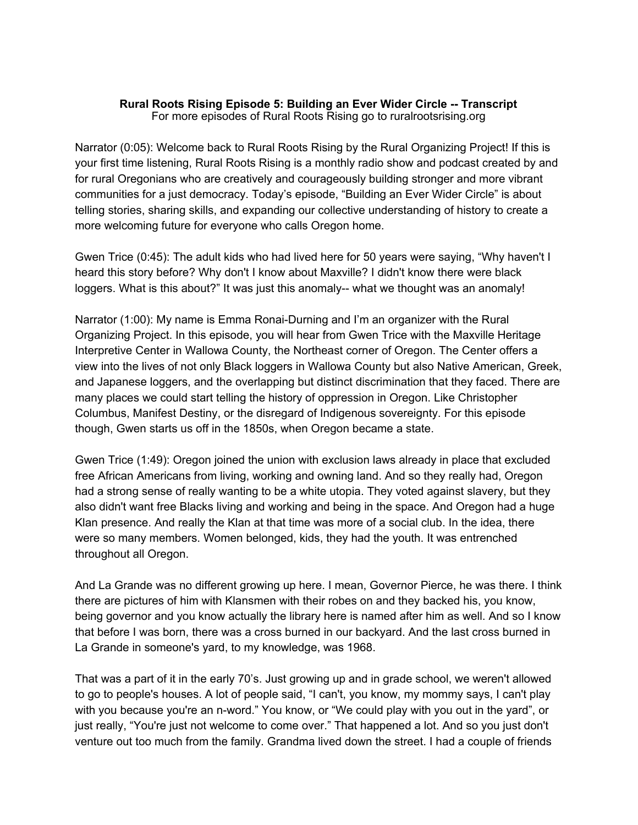#### **Rural Roots Rising Episode 5: Building an Ever Wider Circle -- Transcript** For more episodes of Rural Roots Rising go to ruralrootsrising.org

Narrator (0:05): Welcome back to Rural Roots Rising by the Rural Organizing Project! If this is your first time listening, Rural Roots Rising is a monthly radio show and podcast created by and for rural Oregonians who are creatively and courageously building stronger and more vibrant communities for a just democracy. Today's episode, "Building an Ever Wider Circle" is about telling stories, sharing skills, and expanding our collective understanding of history to create a more welcoming future for everyone who calls Oregon home.

Gwen Trice (0:45): The adult kids who had lived here for 50 years were saying, "Why haven't I heard this story before? Why don't I know about Maxville? I didn't know there were black loggers. What is this about?" It was just this anomaly-- what we thought was an anomaly!

Narrator (1:00): My name is Emma Ronai-Durning and I'm an organizer with the Rural Organizing Project. In this episode, you will hear from Gwen Trice with the Maxville Heritage Interpretive Center in Wallowa County, the Northeast corner of Oregon. The Center offers a view into the lives of not only Black loggers in Wallowa County but also Native American, Greek, and Japanese loggers, and the overlapping but distinct discrimination that they faced. There are many places we could start telling the history of oppression in Oregon. Like Christopher Columbus, Manifest Destiny, or the disregard of Indigenous sovereignty. For this episode though, Gwen starts us off in the 1850s, when Oregon became a state.

Gwen Trice (1:49): Oregon joined the union with exclusion laws already in place that excluded free African Americans from living, working and owning land. And so they really had, Oregon had a strong sense of really wanting to be a white utopia. They voted against slavery, but they also didn't want free Blacks living and working and being in the space. And Oregon had a huge Klan presence. And really the Klan at that time was more of a social club. In the idea, there were so many members. Women belonged, kids, they had the youth. It was entrenched throughout all Oregon.

And La Grande was no different growing up here. I mean, Governor Pierce, he was there. I think there are pictures of him with Klansmen with their robes on and they backed his, you know, being governor and you know actually the library here is named after him as well. And so I know that before I was born, there was a cross burned in our backyard. And the last cross burned in La Grande in someone's yard, to my knowledge, was 1968.

That was a part of it in the early 70's. Just growing up and in grade school, we weren't allowed to go to people's houses. A lot of people said, "I can't, you know, my mommy says, I can't play with you because you're an n-word." You know, or "We could play with you out in the yard", or just really, "You're just not welcome to come over." That happened a lot. And so you just don't venture out too much from the family. Grandma lived down the street. I had a couple of friends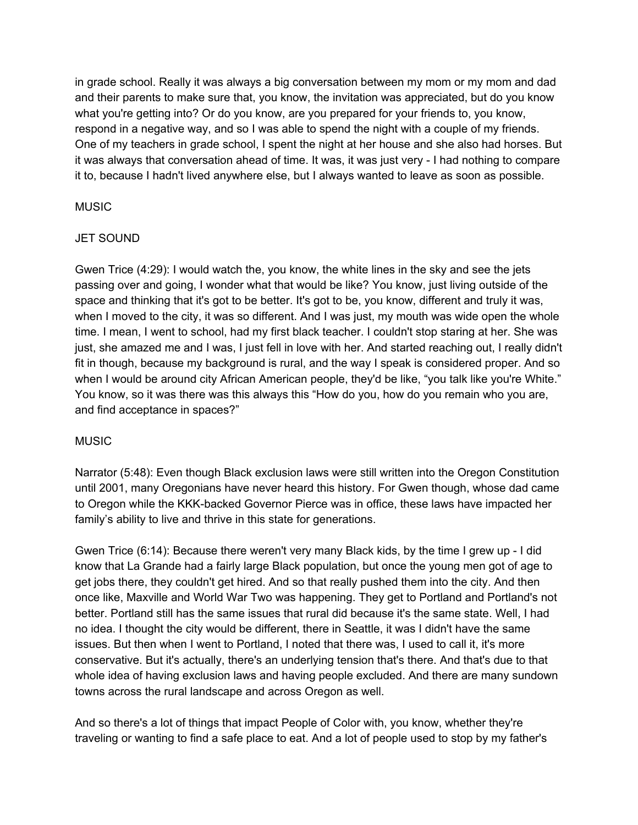in grade school. Really it was always a big conversation between my mom or my mom and dad and their parents to make sure that, you know, the invitation was appreciated, but do you know what you're getting into? Or do you know, are you prepared for your friends to, you know, respond in a negative way, and so I was able to spend the night with a couple of my friends. One of my teachers in grade school, I spent the night at her house and she also had horses. But it was always that conversation ahead of time. It was, it was just very - I had nothing to compare it to, because I hadn't lived anywhere else, but I always wanted to leave as soon as possible.

## **MUSIC**

# JET SOUND

Gwen Trice (4:29): I would watch the, you know, the white lines in the sky and see the jets passing over and going, I wonder what that would be like? You know, just living outside of the space and thinking that it's got to be better. It's got to be, you know, different and truly it was, when I moved to the city, it was so different. And I was just, my mouth was wide open the whole time. I mean, I went to school, had my first black teacher. I couldn't stop staring at her. She was just, she amazed me and I was, I just fell in love with her. And started reaching out, I really didn't fit in though, because my background is rural, and the way I speak is considered proper. And so when I would be around city African American people, they'd be like, "you talk like you're White." You know, so it was there was this always this "How do you, how do you remain who you are, and find acceptance in spaces?"

# **MUSIC**

Narrator (5:48): Even though Black exclusion laws were still written into the Oregon Constitution until 2001, many Oregonians have never heard this history. For Gwen though, whose dad came to Oregon while the KKK-backed Governor Pierce was in office, these laws have impacted her family's ability to live and thrive in this state for generations.

Gwen Trice (6:14): Because there weren't very many Black kids, by the time I grew up - I did know that La Grande had a fairly large Black population, but once the young men got of age to get jobs there, they couldn't get hired. And so that really pushed them into the city. And then once like, Maxville and World War Two was happening. They get to Portland and Portland's not better. Portland still has the same issues that rural did because it's the same state. Well, I had no idea. I thought the city would be different, there in Seattle, it was I didn't have the same issues. But then when I went to Portland, I noted that there was, I used to call it, it's more conservative. But it's actually, there's an underlying tension that's there. And that's due to that whole idea of having exclusion laws and having people excluded. And there are many sundown towns across the rural landscape and across Oregon as well.

And so there's a lot of things that impact People of Color with, you know, whether they're traveling or wanting to find a safe place to eat. And a lot of people used to stop by my father's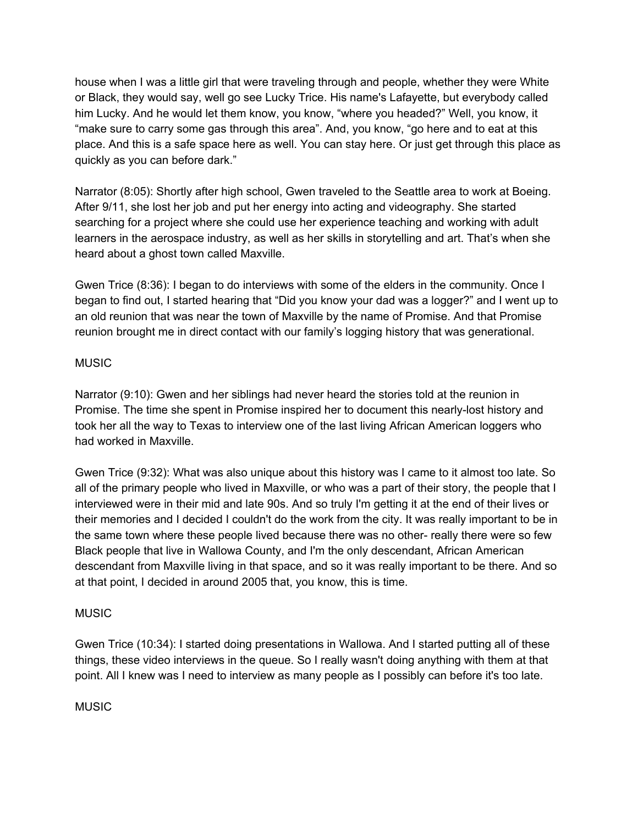house when I was a little girl that were traveling through and people, whether they were White or Black, they would say, well go see Lucky Trice. His name's Lafayette, but everybody called him Lucky. And he would let them know, you know, "where you headed?" Well, you know, it "make sure to carry some gas through this area". And, you know, "go here and to eat at this place. And this is a safe space here as well. You can stay here. Or just get through this place as quickly as you can before dark."

Narrator (8:05): Shortly after high school, Gwen traveled to the Seattle area to work at Boeing. After 9/11, she lost her job and put her energy into acting and videography. She started searching for a project where she could use her experience teaching and working with adult learners in the aerospace industry, as well as her skills in storytelling and art. That's when she heard about a ghost town called Maxville.

Gwen Trice (8:36): I began to do interviews with some of the elders in the community. Once I began to find out, I started hearing that "Did you know your dad was a logger?" and I went up to an old reunion that was near the town of Maxville by the name of Promise. And that Promise reunion brought me in direct contact with our family's logging history that was generational.

#### **MUSIC**

Narrator (9:10): Gwen and her siblings had never heard the stories told at the reunion in Promise. The time she spent in Promise inspired her to document this nearly-lost history and took her all the way to Texas to interview one of the last living African American loggers who had worked in Maxville.

Gwen Trice (9:32): What was also unique about this history was I came to it almost too late. So all of the primary people who lived in Maxville, or who was a part of their story, the people that I interviewed were in their mid and late 90s. And so truly I'm getting it at the end of their lives or their memories and I decided I couldn't do the work from the city. It was really important to be in the same town where these people lived because there was no other- really there were so few Black people that live in Wallowa County, and I'm the only descendant, African American descendant from Maxville living in that space, and so it was really important to be there. And so at that point, I decided in around 2005 that, you know, this is time.

## **MUSIC**

Gwen Trice (10:34): I started doing presentations in Wallowa. And I started putting all of these things, these video interviews in the queue. So I really wasn't doing anything with them at that point. All I knew was I need to interview as many people as I possibly can before it's too late.

## **MUSIC**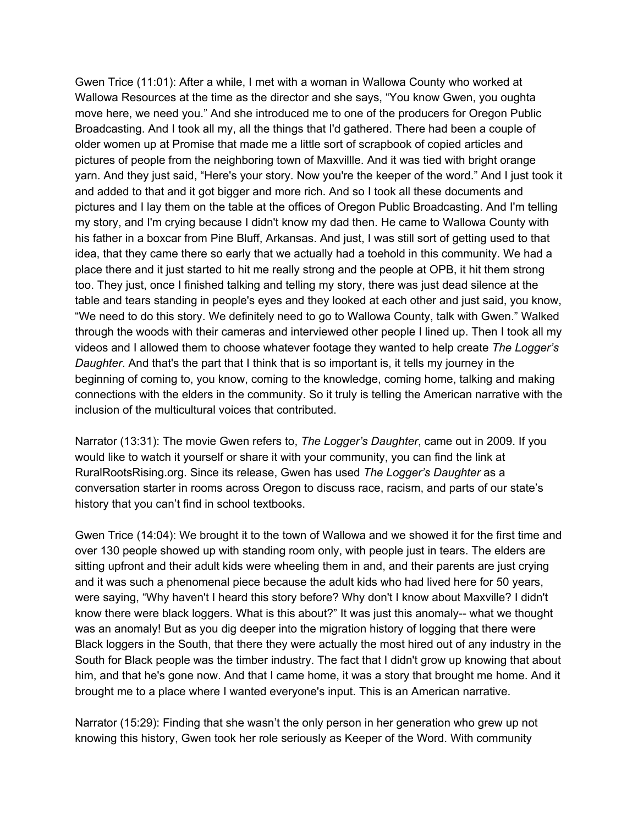Gwen Trice (11:01): After a while, I met with a woman in Wallowa County who worked at Wallowa Resources at the time as the director and she says, "You know Gwen, you oughta move here, we need you." And she introduced me to one of the producers for Oregon Public Broadcasting. And I took all my, all the things that I'd gathered. There had been a couple of older women up at Promise that made me a little sort of scrapbook of copied articles and pictures of people from the neighboring town of Maxvillle. And it was tied with bright orange yarn. And they just said, "Here's your story. Now you're the keeper of the word." And I just took it and added to that and it got bigger and more rich. And so I took all these documents and pictures and I lay them on the table at the offices of Oregon Public Broadcasting. And I'm telling my story, and I'm crying because I didn't know my dad then. He came to Wallowa County with his father in a boxcar from Pine Bluff, Arkansas. And just, I was still sort of getting used to that idea, that they came there so early that we actually had a toehold in this community. We had a place there and it just started to hit me really strong and the people at OPB, it hit them strong too. They just, once I finished talking and telling my story, there was just dead silence at the table and tears standing in people's eyes and they looked at each other and just said, you know, "We need to do this story. We definitely need to go to Wallowa County, talk with Gwen." Walked through the woods with their cameras and interviewed other people I lined up. Then I took all my videos and I allowed them to choose whatever footage they wanted to help create *The Logger's Daughter*. And that's the part that I think that is so important is, it tells my journey in the beginning of coming to, you know, coming to the knowledge, coming home, talking and making connections with the elders in the community. So it truly is telling the American narrative with the inclusion of the multicultural voices that contributed.

Narrator (13:31): The movie Gwen refers to, *The Logger's Daughter*, came out in 2009. If you would like to watch it yourself or share it with your community, you can find the link at RuralRootsRising.org. Since its release, Gwen has used *The Logger's Daughter* as a conversation starter in rooms across Oregon to discuss race, racism, and parts of our state's history that you can't find in school textbooks.

Gwen Trice (14:04): We brought it to the town of Wallowa and we showed it for the first time and over 130 people showed up with standing room only, with people just in tears. The elders are sitting upfront and their adult kids were wheeling them in and, and their parents are just crying and it was such a phenomenal piece because the adult kids who had lived here for 50 years, were saying, "Why haven't I heard this story before? Why don't I know about Maxville? I didn't know there were black loggers. What is this about?" It was just this anomaly-- what we thought was an anomaly! But as you dig deeper into the migration history of logging that there were Black loggers in the South, that there they were actually the most hired out of any industry in the South for Black people was the timber industry. The fact that I didn't grow up knowing that about him, and that he's gone now. And that I came home, it was a story that brought me home. And it brought me to a place where I wanted everyone's input. This is an American narrative.

Narrator (15:29): Finding that she wasn't the only person in her generation who grew up not knowing this history, Gwen took her role seriously as Keeper of the Word. With community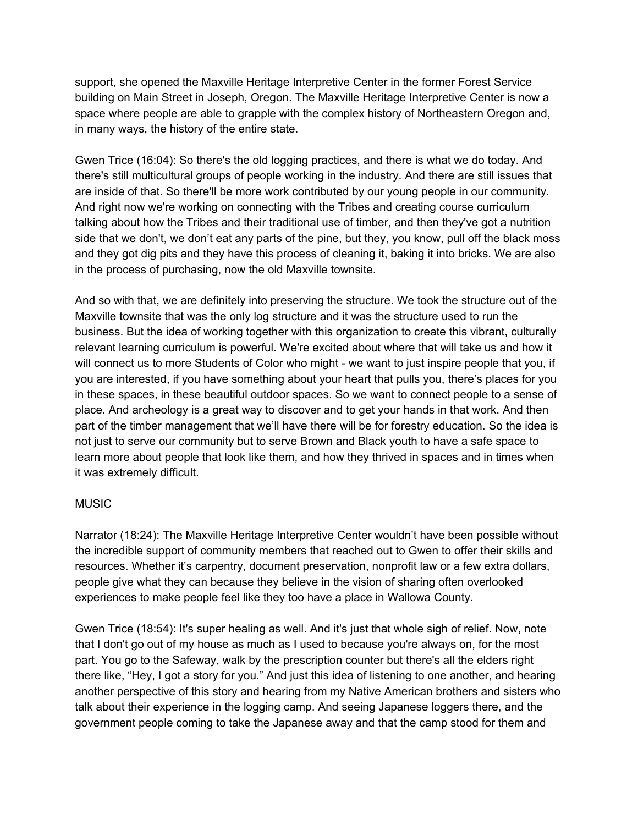support, she opened the Maxville Heritage Interpretive Center in the former Forest Service building on Main Street in Joseph, Oregon. The Maxville Heritage Interpretive Center is now a space where people are able to grapple with the complex history of Northeastern Oregon and, in many ways, the history of the entire state.

Gwen Trice (16:04): So there's the old logging practices, and there is what we do today. And there's still multicultural groups of people working in the industry. And there are still issues that are inside of that. So there'll be more work contributed by our young people in our community. And right now we're working on connecting with the Tribes and creating course curriculum talking about how the Tribes and their traditional use of timber, and then they've got a nutrition side that we don't, we don't eat any parts of the pine, but they, you know, pull off the black moss and they got dig pits and they have this process of cleaning it, baking it into bricks. We are also in the process of purchasing, now the old Maxville townsite.

And so with that, we are definitely into preserving the structure. We took the structure out of the Maxville townsite that was the only log structure and it was the structure used to run the business. But the idea of working together with this organization to create this vibrant, culturally relevant learning curriculum is powerful. We're excited about where that will take us and how it will connect us to more Students of Color who might - we want to just inspire people that you, if you are interested, if you have something about your heart that pulls you, there's places for you in these spaces, in these beautiful outdoor spaces. So we want to connect people to a sense of place. And archeology is a great way to discover and to get your hands in that work. And then part of the timber management that we'll have there will be for forestry education. So the idea is not just to serve our community but to serve Brown and Black youth to have a safe space to learn more about people that look like them, and how they thrived in spaces and in times when it was extremely difficult.

#### **MUSIC**

Narrator (18:24): The Maxville Heritage Interpretive Center wouldn't have been possible without the incredible support of community members that reached out to Gwen to offer their skills and resources. Whether it's carpentry, document preservation, nonprofit law or a few extra dollars, people give what they can because they believe in the vision of sharing often overlooked experiences to make people feel like they too have a place in Wallowa County.

Gwen Trice (18:54): It's super healing as well. And it's just that whole sigh of relief. Now, note that I don't go out of my house as much as I used to because you're always on, for the most part. You go to the Safeway, walk by the prescription counter but there's all the elders right there like, "Hey, I got a story for you." And just this idea of listening to one another, and hearing another perspective of this story and hearing from my Native American brothers and sisters who talk about their experience in the logging camp. And seeing Japanese loggers there, and the government people coming to take the Japanese away and that the camp stood for them and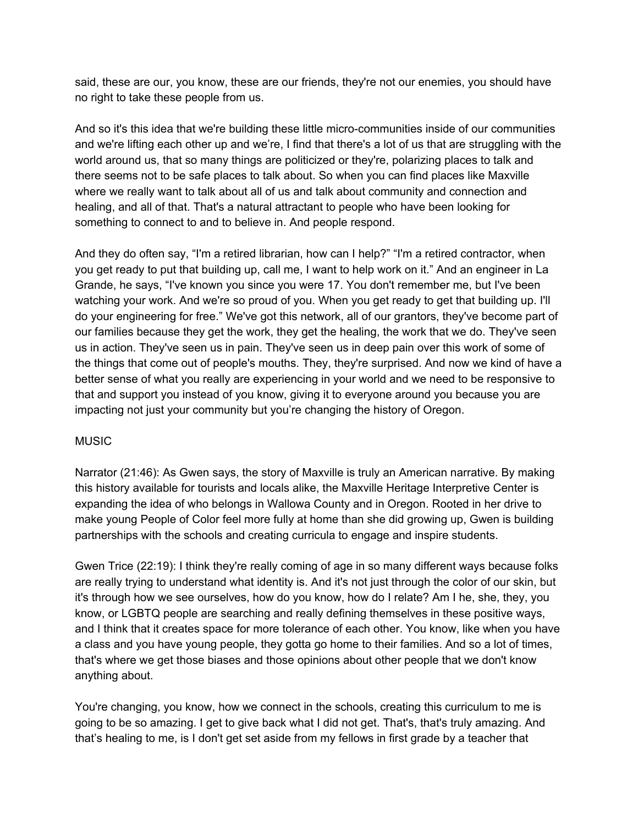said, these are our, you know, these are our friends, they're not our enemies, you should have no right to take these people from us.

And so it's this idea that we're building these little micro-communities inside of our communities and we're lifting each other up and we're, I find that there's a lot of us that are struggling with the world around us, that so many things are politicized or they're, polarizing places to talk and there seems not to be safe places to talk about. So when you can find places like Maxville where we really want to talk about all of us and talk about community and connection and healing, and all of that. That's a natural attractant to people who have been looking for something to connect to and to believe in. And people respond.

And they do often say, "I'm a retired librarian, how can I help?" "I'm a retired contractor, when you get ready to put that building up, call me, I want to help work on it." And an engineer in La Grande, he says, "I've known you since you were 17. You don't remember me, but I've been watching your work. And we're so proud of you. When you get ready to get that building up. I'll do your engineering for free." We've got this network, all of our grantors, they've become part of our families because they get the work, they get the healing, the work that we do. They've seen us in action. They've seen us in pain. They've seen us in deep pain over this work of some of the things that come out of people's mouths. They, they're surprised. And now we kind of have a better sense of what you really are experiencing in your world and we need to be responsive to that and support you instead of you know, giving it to everyone around you because you are impacting not just your community but you're changing the history of Oregon.

## **MUSIC**

Narrator (21:46): As Gwen says, the story of Maxville is truly an American narrative. By making this history available for tourists and locals alike, the Maxville Heritage Interpretive Center is expanding the idea of who belongs in Wallowa County and in Oregon. Rooted in her drive to make young People of Color feel more fully at home than she did growing up, Gwen is building partnerships with the schools and creating curricula to engage and inspire students.

Gwen Trice (22:19): I think they're really coming of age in so many different ways because folks are really trying to understand what identity is. And it's not just through the color of our skin, but it's through how we see ourselves, how do you know, how do I relate? Am I he, she, they, you know, or LGBTQ people are searching and really defining themselves in these positive ways, and I think that it creates space for more tolerance of each other. You know, like when you have a class and you have young people, they gotta go home to their families. And so a lot of times, that's where we get those biases and those opinions about other people that we don't know anything about.

You're changing, you know, how we connect in the schools, creating this curriculum to me is going to be so amazing. I get to give back what I did not get. That's, that's truly amazing. And that's healing to me, is I don't get set aside from my fellows in first grade by a teacher that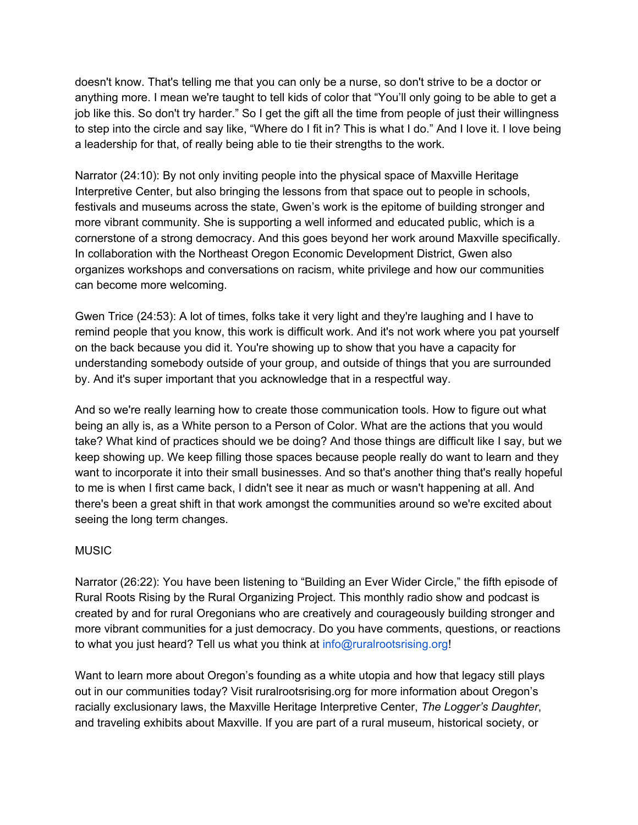doesn't know. That's telling me that you can only be a nurse, so don't strive to be a doctor or anything more. I mean we're taught to tell kids of color that "You'll only going to be able to get a job like this. So don't try harder." So I get the gift all the time from people of just their willingness to step into the circle and say like, "Where do I fit in? This is what I do." And I love it. I love being a leadership for that, of really being able to tie their strengths to the work.

Narrator (24:10): By not only inviting people into the physical space of Maxville Heritage Interpretive Center, but also bringing the lessons from that space out to people in schools, festivals and museums across the state, Gwen's work is the epitome of building stronger and more vibrant community. She is supporting a well informed and educated public, which is a cornerstone of a strong democracy. And this goes beyond her work around Maxville specifically. In collaboration with the Northeast Oregon Economic Development District, Gwen also organizes workshops and conversations on racism, white privilege and how our communities can become more welcoming.

Gwen Trice (24:53): A lot of times, folks take it very light and they're laughing and I have to remind people that you know, this work is difficult work. And it's not work where you pat yourself on the back because you did it. You're showing up to show that you have a capacity for understanding somebody outside of your group, and outside of things that you are surrounded by. And it's super important that you acknowledge that in a respectful way.

And so we're really learning how to create those communication tools. How to figure out what being an ally is, as a White person to a Person of Color. What are the actions that you would take? What kind of practices should we be doing? And those things are difficult like I say, but we keep showing up. We keep filling those spaces because people really do want to learn and they want to incorporate it into their small businesses. And so that's another thing that's really hopeful to me is when I first came back, I didn't see it near as much or wasn't happening at all. And there's been a great shift in that work amongst the communities around so we're excited about seeing the long term changes.

## **MUSIC**

Narrator (26:22): You have been listening to "Building an Ever Wider Circle," the fifth episode of Rural Roots Rising by the Rural Organizing Project. This monthly radio show and podcast is created by and for rural Oregonians who are creatively and courageously building stronger and more vibrant communities for a just democracy. Do you have comments, questions, or reactions to what you just heard? Tell us what you think at info@ruralrootsrising.org!

Want to learn more about Oregon's founding as a white utopia and how that legacy still plays out in our communities today? Visit ruralrootsrising.org for more information about Oregon's racially exclusionary laws, the Maxville Heritage Interpretive Center, *The Logger's Daughter*, and traveling exhibits about Maxville. If you are part of a rural museum, historical society, or